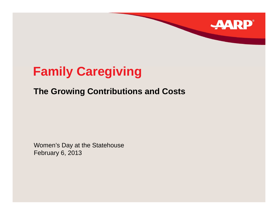## **Family Caregiving**

### **The Growing Contributions and Costs Costs**

**RP**®

Women's Da y at the Statehouse February 6, 2013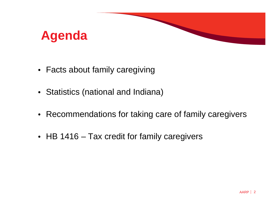

- $\bullet~$  Facts about family caregiving
- Statistics (national and Indiana)
- Recommendations for taking care of family caregivers
- HB 1416 Tax credit for family caregivers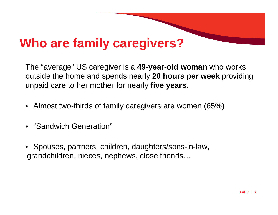## **Wh f il i ? Who are family careg ivers**

The "average" US caregiver is a **49-year-old woman** who works outside the home and spends nearly **20 hours per week** providing unpaid care to her mother for nearly **five years**.

- Almost two-thirds of family caregivers are women (65%)
- "Sandwich Generation"
- Spouses, partners, children, daughters/sons-in-law, grandchildren, nieces, nephews, close friends…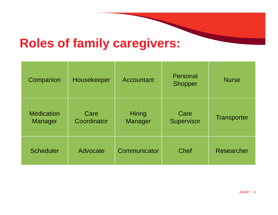### **R l f f il i o les o family careg ivers:**

| Companion                    | Housekeeper         | Accountant               | Personal<br><b>Shopper</b> | <b>Nurse</b>       |
|------------------------------|---------------------|--------------------------|----------------------------|--------------------|
| <b>Medication</b><br>Manager | Care<br>Coordinator | <b>Hiring</b><br>Manager | Care<br>Supervisor         | <b>Transporter</b> |
| <b>Scheduler</b>             | Advocate            | Communicator             | <b>Chef</b>                | Researcher         |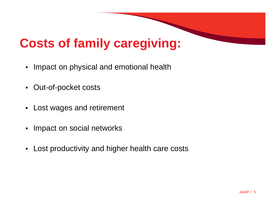## **Costs of family caregiving:**

- $\bullet~$  Impact on physical and emotional health
- Out-of-pocket costs
- Lost wages and retirement
- Impact on social networks
- $\bullet$ Lost productivity and higher health care costs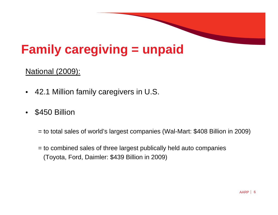# **Family caregiving = unpaid**

#### National (2009):

- 42.1 Million family caregivers in U.S.
- •\$450 Billion

= to total sales of world's largest companies (Wal-Mart: \$408 Billion in 2009)

= to combined sales of three largest publically held auto companies (Toyota, Ford, Daimler: \$439 Billion in 2009)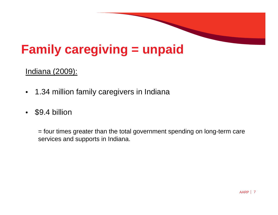# **Family caregiving = unpaid**

#### Indiana (2009):

- $\bullet$  $\bullet$   $\,$  1.34 million family caregivers in Indiana
- $\bullet$ \$9.4 billion

= four times greater than the total government spending on long-term care services and supports in Indiana.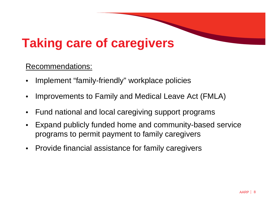## **T ki f i aking care o f careg ivers**

#### Recommendations:

- •Implement "family-friendly" workplace policies
- •• Improvements to Family and Medical Leave Act (FMLA)
- •Fund national and local caregiving support programs
- • Expand publicly funded home and community-based service programs to permit payment to family caregivers
- •Provide financial assistance for family caregivers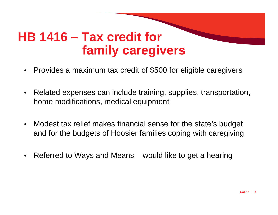## **HB 1416 – Tax credit for family caregivers**

- $\bullet$ Provides a maximum tax credit of \$500 for eligible caregivers
- •Related expenses can include training, supplies, transportation, home modifications, medical equipment
- •• Modest tax relief makes financial sense for the state's budget and for the budgets of Hoosier families coping with caregiving
- •Referred to Ways and Means – would like to get a hearing